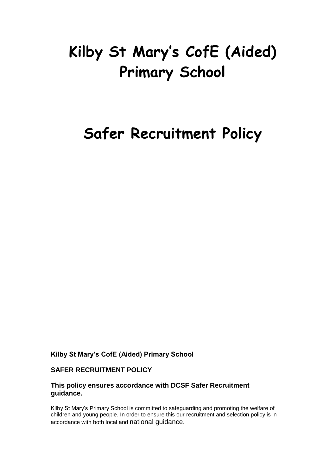# **Kilby St Mary's CofE (Aided) Primary School**

# **Safer Recruitment Policy**

**Kilby St Mary's CofE (Aided) Primary School**

### **SAFER RECRUITMENT POLICY**

#### **This policy ensures accordance with DCSF Safer Recruitment guidance.**

Kilby St Mary's Primary School is committed to safeguarding and promoting the welfare of children and young people. In order to ensure this our recruitment and selection policy is in accordance with both local and national guidance.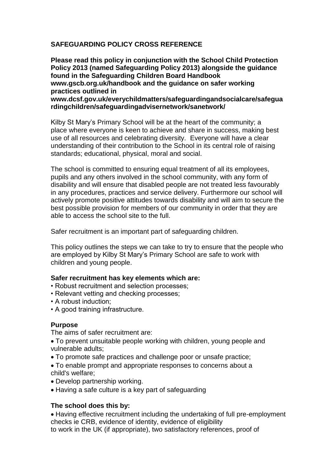# **SAFEGUARDING POLICY CROSS REFERENCE**

**Please read this policy in conjunction with the School Child Protection Policy 2013 (named Safeguarding Policy 2013) alongside the guidance found in the Safeguarding Children Board Handbook www.gscb.org.uk/handbook and the guidance on safer working practices outlined in www.dcsf.gov.uk/everychildmatters/safeguardingandsocialcare/safegua**

**rdingchildren/safeguardingadvisernetwork/sanetwork/**

Kilby St Mary's Primary School will be at the heart of the community; a place where everyone is keen to achieve and share in success, making best use of all resources and celebrating diversity. Everyone will have a clear understanding of their contribution to the School in its central role of raising standards; educational, physical, moral and social.

The school is committed to ensuring equal treatment of all its employees, pupils and any others involved in the school community, with any form of disability and will ensure that disabled people are not treated less favourably in any procedures, practices and service delivery. Furthermore our school will actively promote positive attitudes towards disability and will aim to secure the best possible provision for members of our community in order that they are able to access the school site to the full.

Safer recruitment is an important part of safeguarding children.

This policy outlines the steps we can take to try to ensure that the people who are employed by Kilby St Mary's Primary School are safe to work with children and young people.

#### **Safer recruitment has key elements which are:**

- Robust recruitment and selection processes;
- Relevant vetting and checking processes;
- A robust induction;
- A good training infrastructure.

#### **Purpose**

The aims of safer recruitment are:

- To prevent unsuitable people working with children, young people and vulnerable adults;
- To promote safe practices and challenge poor or unsafe practice;
- To enable prompt and appropriate responses to concerns about a child's welfare;
- Develop partnership working.
- Having a safe culture is a key part of safeguarding

#### **The school does this by:**

Having effective recruitment including the undertaking of full pre-employment checks ie CRB, evidence of identity, evidence of eligibility to work in the UK (if appropriate), two satisfactory references, proof of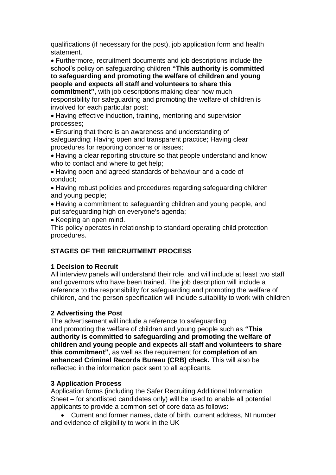qualifications (if necessary for the post), job application form and health statement.

Furthermore, recruitment documents and job descriptions include the school's policy on safeguarding children **"This authority is committed to safeguarding and promoting the welfare of children and young people and expects all staff and volunteers to share this**

**commitment"**, with job descriptions making clear how much responsibility for safeguarding and promoting the welfare of children is involved for each particular post;

Having effective induction, training, mentoring and supervision processes;

Ensuring that there is an awareness and understanding of safeguarding; Having open and transparent practice; Having clear procedures for reporting concerns or issues;

Having a clear reporting structure so that people understand and know who to contact and where to get help;

Having open and agreed standards of behaviour and a code of conduct;

• Having robust policies and procedures regarding safeguarding children and young people;

Having a commitment to safeguarding children and young people, and put safeguarding high on everyone's agenda;

• Keeping an open mind.

This policy operates in relationship to standard operating child protection procedures.

# **STAGES OF THE RECRUITMENT PROCESS**

# **1 Decision to Recruit**

All interview panels will understand their role, and will include at least two staff and governors who have been trained. The job description will include a reference to the responsibility for safeguarding and promoting the welfare of children, and the person specification will include suitability to work with children

# **2 Advertising the Post**

The advertisement will include a reference to safeguarding and promoting the welfare of children and young people such as **"This authority is committed to safeguarding and promoting the welfare of children and young people and expects all staff and volunteers to share this commitment"**, as well as the requirement for **completion of an enhanced Criminal Records Bureau (CRB) check.** This will also be reflected in the information pack sent to all applicants.

# **3 Application Process**

Application forms (including the Safer Recruiting Additional Information Sheet – for shortlisted candidates only) will be used to enable all potential applicants to provide a common set of core data as follows:

 Current and former names, date of birth, current address, NI number and evidence of eligibility to work in the UK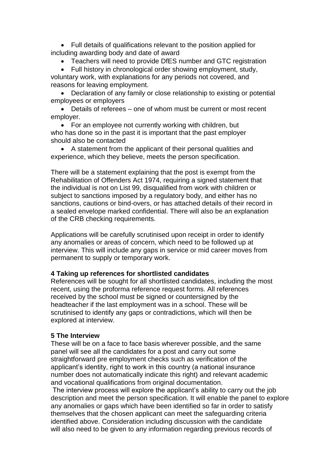Full details of qualifications relevant to the position applied for including awarding body and date of award

Teachers will need to provide DfES number and GTC registration

• Full history in chronological order showing employment, study, voluntary work, with explanations for any periods not covered, and reasons for leaving employment.

 Declaration of any family or close relationship to existing or potential employees or employers

 Details of referees – one of whom must be current or most recent employer.

• For an employee not currently working with children, but who has done so in the past it is important that the past employer should also be contacted

 A statement from the applicant of their personal qualities and experience, which they believe, meets the person specification.

There will be a statement explaining that the post is exempt from the Rehabilitation of Offenders Act 1974, requiring a signed statement that the individual is not on List 99, disqualified from work with children or subject to sanctions imposed by a regulatory body, and either has no sanctions, cautions or bind-overs, or has attached details of their record in a sealed envelope marked confidential. There will also be an explanation of the CRB checking requirements.

Applications will be carefully scrutinised upon receipt in order to identify any anomalies or areas of concern, which need to be followed up at interview. This will include any gaps in service or mid career moves from permanent to supply or temporary work.

#### **4 Taking up references for shortlisted candidates**

References will be sought for all shortlisted candidates, including the most recent, using the proforma reference request forms. All references received by the school must be signed or countersigned by the headteacher if the last employment was in a school. These will be scrutinised to identify any gaps or contradictions, which will then be explored at interview.

#### **5 The Interview**

These will be on a face to face basis wherever possible, and the same panel will see all the candidates for a post and carry out some straightforward pre employment checks such as verification of the applicant's identity, right to work in this country (a national insurance number does not automatically indicate this right) and relevant academic and vocational qualifications from original documentation.

The interview process will explore the applicant's ability to carry out the job description and meet the person specification. It will enable the panel to explore any anomalies or gaps which have been identified so far in order to satisfy themselves that the chosen applicant can meet the safeguarding criteria identified above. Consideration including discussion with the candidate will also need to be given to any information regarding previous records of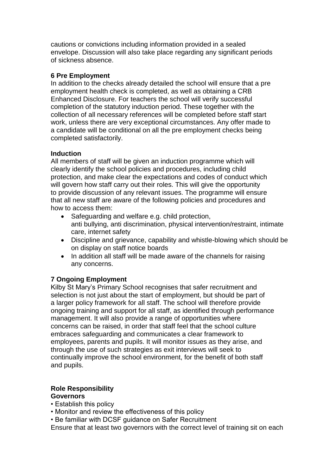cautions or convictions including information provided in a sealed envelope. Discussion will also take place regarding any significant periods of sickness absence.

## **6 Pre Employment**

In addition to the checks already detailed the school will ensure that a pre employment health check is completed, as well as obtaining a CRB Enhanced Disclosure. For teachers the school will verify successful completion of the statutory induction period. These together with the collection of all necessary references will be completed before staff start work, unless there are very exceptional circumstances. Any offer made to a candidate will be conditional on all the pre employment checks being completed satisfactorily.

### **Induction**

All members of staff will be given an induction programme which will clearly identify the school policies and procedures, including child protection, and make clear the expectations and codes of conduct which will govern how staff carry out their roles. This will give the opportunity to provide discussion of any relevant issues. The programme will ensure that all new staff are aware of the following policies and procedures and how to access them:

- Safeguarding and welfare e.g. child protection, anti bullying, anti discrimination, physical intervention/restraint, intimate care, internet safety
- Discipline and grievance, capability and whistle-blowing which should be on display on staff notice boards
- In addition all staff will be made aware of the channels for raising any concerns.

# **7 Ongoing Employment**

Kilby St Mary's Primary School recognises that safer recruitment and selection is not just about the start of employment, but should be part of a larger policy framework for all staff. The school will therefore provide ongoing training and support for all staff, as identified through performance management. It will also provide a range of opportunities where concerns can be raised, in order that staff feel that the school culture embraces safeguarding and communicates a clear framework to employees, parents and pupils. It will monitor issues as they arise, and through the use of such strategies as exit interviews will seek to continually improve the school environment, for the benefit of both staff and pupils.

#### **Role Responsibility Governors**

- Establish this policy
- Monitor and review the effectiveness of this policy
- Be familiar with DCSF guidance on Safer Recruitment

Ensure that at least two governors with the correct level of training sit on each